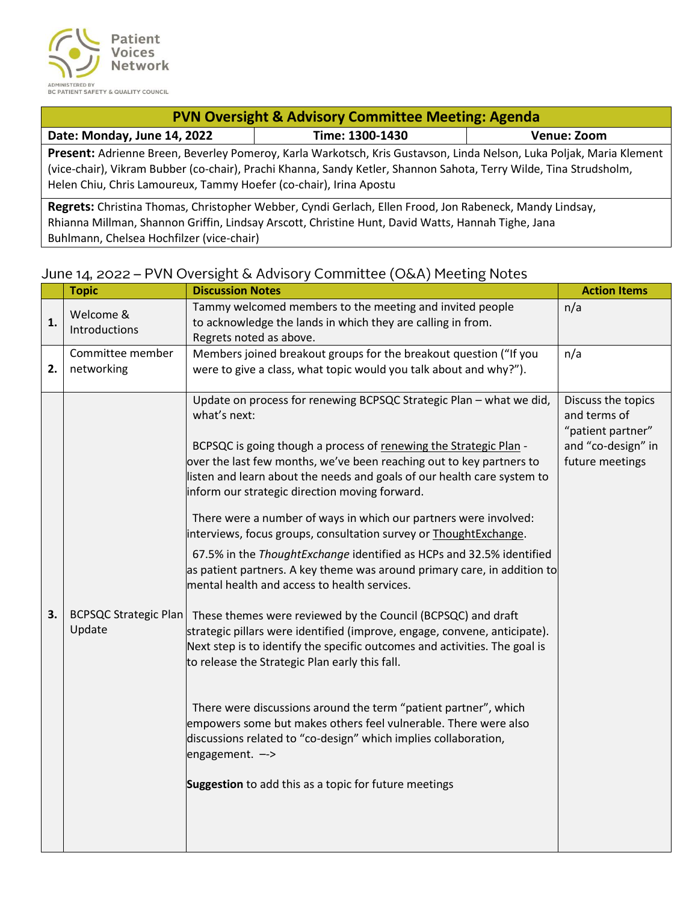

| <b>PVN Oversight &amp; Advisory Committee Meeting: Agenda</b>                                                                                                                                                                                                                                                    |                                                                                                                                                                                                               |             |  |
|------------------------------------------------------------------------------------------------------------------------------------------------------------------------------------------------------------------------------------------------------------------------------------------------------------------|---------------------------------------------------------------------------------------------------------------------------------------------------------------------------------------------------------------|-------------|--|
| Date: Monday, June 14, 2022                                                                                                                                                                                                                                                                                      | Time: 1300-1430                                                                                                                                                                                               | Venue: Zoom |  |
| Present: Adrienne Breen, Beverley Pomeroy, Karla Warkotsch, Kris Gustavson, Linda Nelson, Luka Poljak, Maria Klement<br>(vice-chair), Vikram Bubber (co-chair), Prachi Khanna, Sandy Ketler, Shannon Sahota, Terry Wilde, Tina Strudsholm,<br>Helen Chiu, Chris Lamoureux, Tammy Hoefer (co-chair), Irina Apostu |                                                                                                                                                                                                               |             |  |
|                                                                                                                                                                                                                                                                                                                  | Regrets: Christina Thomas, Christopher Webber, Cyndi Gerlach, Ellen Frood, Jon Rabeneck, Mandy Lindsay,<br>Rhianna Millman, Shannon Griffin, Lindsay Arscott, Christine Hunt, David Watts, Hannah Tighe, Jana |             |  |

Buhlmann, Chelsea Hochfilzer (vice-chair)

## June 14, 2022 - PVN Oversight & Advisory Committee (O&A) Meeting Notes

|    | <b>Topic</b>                           | <b>Discussion Notes</b>                                                                                                                                                                                                                                                                                                                                                                                                                                                                                                                                                                                                                                                                                    | <b>Action Items</b>                                                                              |
|----|----------------------------------------|------------------------------------------------------------------------------------------------------------------------------------------------------------------------------------------------------------------------------------------------------------------------------------------------------------------------------------------------------------------------------------------------------------------------------------------------------------------------------------------------------------------------------------------------------------------------------------------------------------------------------------------------------------------------------------------------------------|--------------------------------------------------------------------------------------------------|
| 1. | Welcome &<br>Introductions             | Tammy welcomed members to the meeting and invited people<br>to acknowledge the lands in which they are calling in from.<br>Regrets noted as above.                                                                                                                                                                                                                                                                                                                                                                                                                                                                                                                                                         | n/a                                                                                              |
| 2. | Committee member<br>networking         | Members joined breakout groups for the breakout question ("If you<br>were to give a class, what topic would you talk about and why?").                                                                                                                                                                                                                                                                                                                                                                                                                                                                                                                                                                     | n/a                                                                                              |
|    |                                        | Update on process for renewing BCPSQC Strategic Plan - what we did,<br>what's next:<br>BCPSQC is going though a process of renewing the Strategic Plan -<br>over the last few months, we've been reaching out to key partners to<br>listen and learn about the needs and goals of our health care system to<br>inform our strategic direction moving forward.<br>There were a number of ways in which our partners were involved:<br>interviews, focus groups, consultation survey or ThoughtExchange.<br>67.5% in the ThoughtExchange identified as HCPs and 32.5% identified<br>as patient partners. A key theme was around primary care, in addition to<br>mental health and access to health services. | Discuss the topics<br>and terms of<br>"patient partner"<br>and "co-design" in<br>future meetings |
| 3. | <b>BCPSQC Strategic Plan</b><br>Update | These themes were reviewed by the Council (BCPSQC) and draft<br>strategic pillars were identified (improve, engage, convene, anticipate).<br>Next step is to identify the specific outcomes and activities. The goal is<br>to release the Strategic Plan early this fall.<br>There were discussions around the term "patient partner", which<br>empowers some but makes others feel vulnerable. There were also<br>discussions related to "co-design" which implies collaboration,<br>engagement. --><br>Suggestion to add this as a topic for future meetings                                                                                                                                             |                                                                                                  |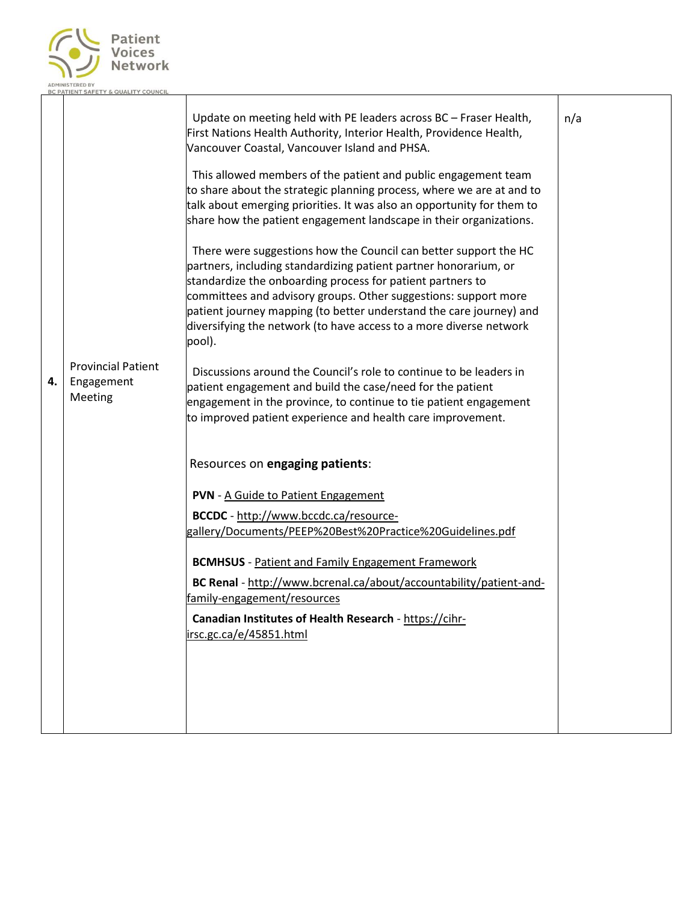

| 4. | <b>Provincial Patient</b><br>Engagement<br>Meeting | Update on meeting held with PE leaders across BC - Fraser Health,<br>First Nations Health Authority, Interior Health, Providence Health,<br>Vancouver Coastal, Vancouver Island and PHSA.<br>This allowed members of the patient and public engagement team<br>to share about the strategic planning process, where we are at and to<br>talk about emerging priorities. It was also an opportunity for them to<br>share how the patient engagement landscape in their organizations.<br>There were suggestions how the Council can better support the HC<br>partners, including standardizing patient partner honorarium, or<br>standardize the onboarding process for patient partners to<br>committees and advisory groups. Other suggestions: support more<br>patient journey mapping (to better understand the care journey) and<br>diversifying the network (to have access to a more diverse network<br>pool).<br>Discussions around the Council's role to continue to be leaders in<br>patient engagement and build the case/need for the patient<br>engagement in the province, to continue to tie patient engagement<br>to improved patient experience and health care improvement. | n/a |
|----|----------------------------------------------------|----------------------------------------------------------------------------------------------------------------------------------------------------------------------------------------------------------------------------------------------------------------------------------------------------------------------------------------------------------------------------------------------------------------------------------------------------------------------------------------------------------------------------------------------------------------------------------------------------------------------------------------------------------------------------------------------------------------------------------------------------------------------------------------------------------------------------------------------------------------------------------------------------------------------------------------------------------------------------------------------------------------------------------------------------------------------------------------------------------------------------------------------------------------------------------------------|-----|
|    |                                                    | Resources on engaging patients:<br><b>PVN</b> - A Guide to Patient Engagement<br>BCCDC - http://www.bccdc.ca/resource-<br>gallery/Documents/PEEP%20Best%20Practice%20Guidelines.pdf<br><b>BCMHSUS</b> - Patient and Family Engagement Framework<br>BC Renal - http://www.bcrenal.ca/about/accountability/patient-and-<br>family-engagement/resources<br>Canadian Institutes of Health Research - https://cihr-<br>irsc.gc.ca/e/45851.html                                                                                                                                                                                                                                                                                                                                                                                                                                                                                                                                                                                                                                                                                                                                                    |     |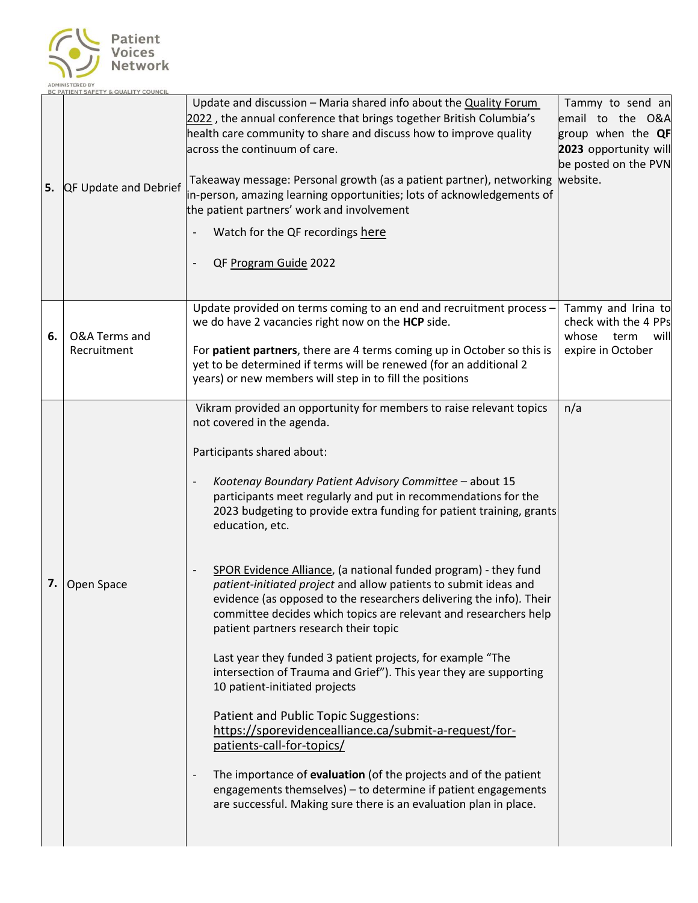

| 5. | <b>QF Update and Debrief</b> | Update and discussion - Maria shared info about the Quality Forum<br>2022, the annual conference that brings together British Columbia's<br>health care community to share and discuss how to improve quality<br>across the continuum of care.<br>Takeaway message: Personal growth (as a patient partner), networking website.<br>in-person, amazing learning opportunities; lots of acknowledgements of<br>the patient partners' work and involvement<br>Watch for the QF recordings here<br>QF Program Guide 2022                                                                                                                                                                                                                                                                                                                                                                                                                                                                                                                                                                                                                                                                            | Tammy to send an<br>email to the O&A<br>group when the QF<br>2023 opportunity will<br>be posted on the PVN |
|----|------------------------------|-------------------------------------------------------------------------------------------------------------------------------------------------------------------------------------------------------------------------------------------------------------------------------------------------------------------------------------------------------------------------------------------------------------------------------------------------------------------------------------------------------------------------------------------------------------------------------------------------------------------------------------------------------------------------------------------------------------------------------------------------------------------------------------------------------------------------------------------------------------------------------------------------------------------------------------------------------------------------------------------------------------------------------------------------------------------------------------------------------------------------------------------------------------------------------------------------|------------------------------------------------------------------------------------------------------------|
| 6. | O&A Terms and<br>Recruitment | Update provided on terms coming to an end and recruitment process -<br>we do have 2 vacancies right now on the HCP side.<br>For patient partners, there are 4 terms coming up in October so this is<br>yet to be determined if terms will be renewed (for an additional 2<br>years) or new members will step in to fill the positions                                                                                                                                                                                                                                                                                                                                                                                                                                                                                                                                                                                                                                                                                                                                                                                                                                                           | Tammy and Irina to<br>check with the 4 PPs<br>whose<br>term<br>will<br>expire in October                   |
| 7. | Open Space                   | Vikram provided an opportunity for members to raise relevant topics<br>not covered in the agenda.<br>Participants shared about:<br>Kootenay Boundary Patient Advisory Committee - about 15<br>participants meet regularly and put in recommendations for the<br>2023 budgeting to provide extra funding for patient training, grants<br>education, etc.<br>SPOR Evidence Alliance, (a national funded program) - they fund<br>patient-initiated project and allow patients to submit ideas and<br>evidence (as opposed to the researchers delivering the info). Their<br>committee decides which topics are relevant and researchers help<br>patient partners research their topic<br>Last year they funded 3 patient projects, for example "The<br>intersection of Trauma and Grief"). This year they are supporting<br>10 patient-initiated projects<br>Patient and Public Topic Suggestions:<br>https://sporevidencealliance.ca/submit-a-request/for-<br>patients-call-for-topics/<br>The importance of evaluation (of the projects and of the patient<br>engagements themselves) - to determine if patient engagements<br>are successful. Making sure there is an evaluation plan in place. | n/a                                                                                                        |